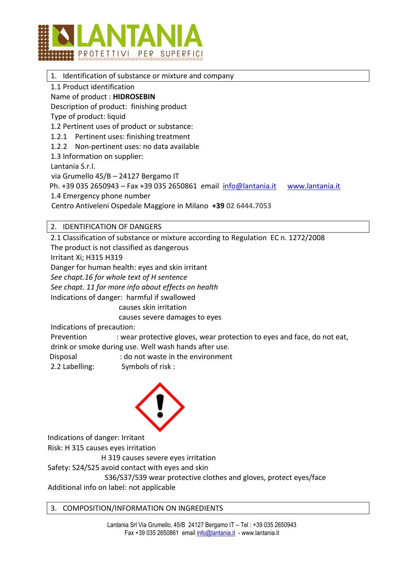

# 1. Identification of substance or mixture and company

1.1 Product identification

# Name of product : **HIDROSEBIN**

Description of product: finishing product

Type of product: liquid

1.2 Pertinent uses of product or substance:

- 1.2.1 Pertinent uses: finishing treatment
- 1.2.2 Non-pertinent uses: no data available

1.3 Information on supplier:

Lantania S.r.l.

via Grumello 45/B – 24127 Bergamo IT

Ph. +39 035 2650943 – Fax +39 035 2650861 email [info@lantania.it](mailto:info@lantania.it) [www.lantania.it](http://www.lantania.it/)

1.4 Emergency phone number

Centro Antiveleni Ospedale Maggiore in Milano **+39 02 6444.7053**

# 2. IDENTIFICATION OF DANGERS

2.1 Classification of substance or mixture according to Regulation EC n. 1272/2008

The product is not classified as dangerous

Irritant Xi; H315 H319

Danger for human health: eyes and skin irritant

*See chapt.16 for whole text of H sentence* 

*See chapt. 11 for more info about effects on health* 

Indications of danger: harmful if swallowed

causes skin irritation

causes severe damages to eyes

Indications of precaution:

Prevention : wear protective gloves, wear protection to eyes and face, do not eat, drink or smoke during use. Well wash hands after use.

Disposal : do not waste in the environment

2.2 Labelling: Symbols of risk :



Indications of danger: Irritant

Risk: H 315 causes eyes irritation

H 319 causes severe eyes irritation

Safety: S24/S25 avoid contact with eyes and skin

 S36/S37/S39 wear protective clothes and gloves, protect eyes/face Additional info on label: not applicable

#### 3. COMPOSITION/INFORMATION ON INGREDIENTS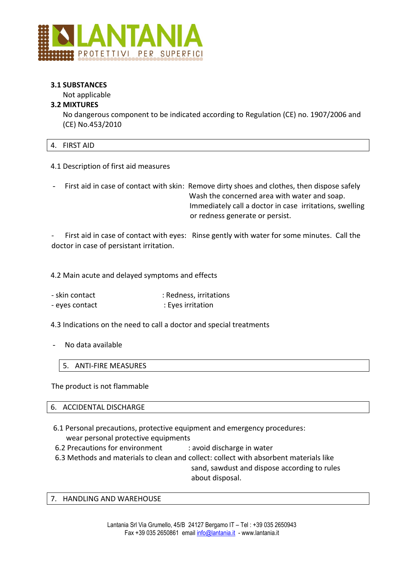

### **3.1 SUBSTANCES**

Not applicable

# **3.2 MIXTURES**

No dangerous component to be indicated according to Regulation (CE) no. 1907/2006 and (CE) No.453/2010

|--|

4.1 Description of first aid measures

First aid in case of contact with skin: Remove dirty shoes and clothes, then dispose safely Wash the concerned area with water and soap. Immediately call a doctor in case irritations, swelling or redness generate or persist.

First aid in case of contact with eyes: Rinse gently with water for some minutes. Call the doctor in case of persistant irritation.

4.2 Main acute and delayed symptoms and effects

- skin contact in the set of the skin contact in the skin contact in the skin contact in the skin contact in the skin contact in the skin contact in the skin contact in the skin contact in the skin contact in the skin cont
- eyes contact : Eyes irritation

4.3 Indications on the need to call a doctor and special treatments

No data available

5. ANTI-FIRE MEASURES

The product is not flammable

6. ACCIDENTAL DISCHARGE

- 6.1 Personal precautions, protective equipment and emergency procedures: wear personal protective equipments
- 6.2 Precautions for environment : avoid discharge in water
- 6.3 Methods and materials to clean and collect: collect with absorbent materials like

 sand, sawdust and dispose according to rules about disposal.

7. HANDLING AND WAREHOUSE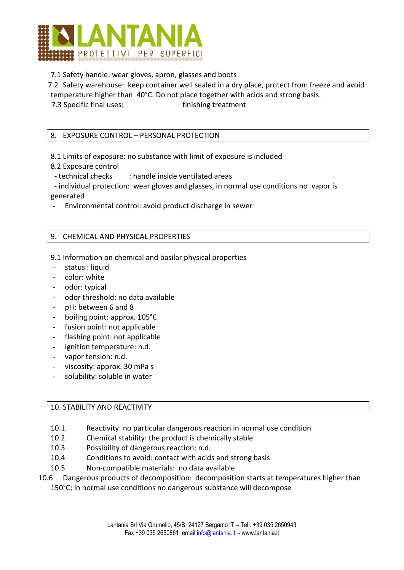

7.1 Safety handle: wear gloves, apron, glasses and boots

7.2 Safety warehouse: keep container well sealed in a dry place, protect from freeze and avoid temperature higher than 40°C. Do not place together with acids and strong basis.

7.3 Specific final uses: finishing treatment

# 8. EXPOSURE CONTROL – PERSONAL PROTECTION

8.1 Limits of exposure: no substance with limit of exposure is included

8.2 Exposure control

- technical checks : handle inside ventilated areas

 - individual protection: wear gloves and glasses, in normal use conditions no vapor is generated

- Environmental control: avoid product discharge in sewer

# 9. CHEMICAL AND PHYSICAL PROPERTIES

- 9.1 Information on chemical and basilar physical properties
- status : liquid
- color: white
- odor: typical
- odor threshold: no data available
- pH: between 6 and 8
- boiling point: approx. 105°C
- fusion point: not applicable
- flashing point: not applicable
- ignition temperature: n.d.
- vapor tension: n.d.
- viscosity: approx. 30 mPa s
- solubility: soluble in water

#### 10. STABILITY AND REACTIVITY

- 10.1 Reactivity: no particular dangerous reaction in normal use condition
- 10.2 Chemical stability: the product is chemically stable
- 10.3 Possibility of dangerous reaction: n.d.
- 10.4 Conditions to avoid: contact with acids and strong basis
- 10.5 Non-compatible materials: no data available
- 10.6 Dangerous products of decomposition: decomposition starts at temperatures higher than 150°C; in normal use conditions no dangerous substance will decompose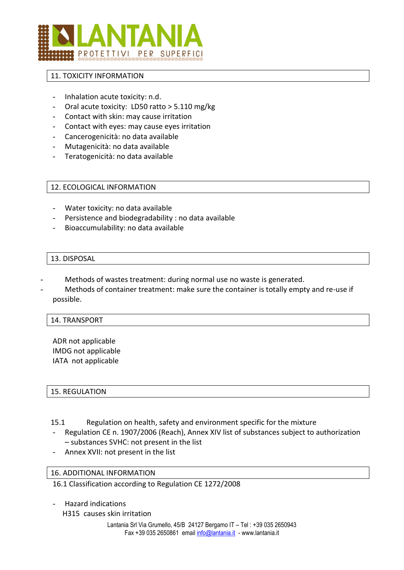

### 11. TOXICITY INFORMATION

- Inhalation acute toxicity: n.d.
- Oral acute toxicity: LD50 ratto > 5.110 mg/kg
- Contact with skin: may cause irritation
- Contact with eyes: may cause eyes irritation
- Cancerogenicità: no data available
- Mutagenicità: no data available
- Teratogenicità: no data available

#### 12. ECOLOGICAL INFORMATION

- Water toxicity: no data available
- Persistence and biodegradability : no data available
- Bioaccumulability: no data available

#### 13. DISPOSAL

- Methods of wastes treatment: during normal use no waste is generated.
- Methods of container treatment: make sure the container is totally empty and re-use if possible.

#### 14. TRANSPORT

ADR not applicable IMDG not applicable IATA not applicable

#### 15. REGULATION

- 15.1 Regulation on health, safety and environment specific for the mixture
- Regulation CE n. 1907/2006 (Reach), Annex XIV list of substances subject to authorization – substances SVHC: not present in the list
- Annex XVII: not present in the list

#### 16. ADDITIONAL INFORMATION

16.1 Classification according to Regulation CE 1272/2008

- Hazard indications

H315 causes skin irritation